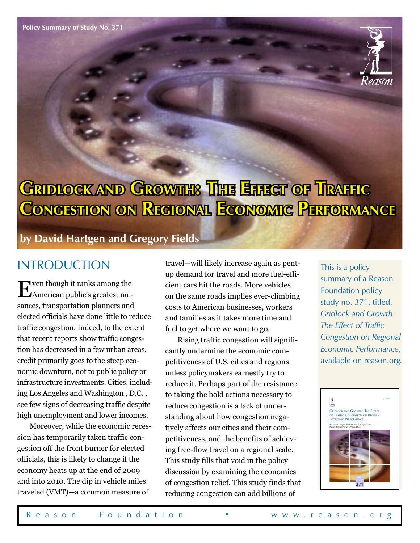

# **Gridlock and Growth: The Effect of Traffic Congestion on Regional Economic Performance**

**by David Hartgen and Gregory Fields**

#### **INTRODUCTION**

Even though it ranks among the American public's greatest nuisances, transportation planners and elected officials have done little to reduce traffic congestion. Indeed, to the extent that recent reports show traffic congestion has decreased in a few urban areas, credit primarily goes to the steep economic downturn, not to public policy or infrastructure investments. Cities, including Los Angeles and Washington , D.C. , see few signs of decreasing traffic despite high unemployment and lower incomes.

Moreover, while the economic recession has temporarily taken traffic congestion off the front burner for elected officials, this is likely to change if the economy heats up at the end of 2009 and into 2010. The dip in vehicle miles traveled (VMT)—a common measure of

travel—will likely increase again as pentup demand for travel and more fuel-efficient cars hit the roads. More vehicles on the same roads implies ever-climbing costs to American businesses, workers and families as it takes more time and fuel to get where we want to go.

Rising traffic congestion will significantly undermine the economic competitiveness of U.S. cities and regions unless policymakers earnestly try to reduce it. Perhaps part of the resistance to taking the bold actions necessary to reduce congestion is a lack of understanding about how congestion negatively affects our cities and their competitiveness, and the benefits of achieving free-flow travel on a regional scale. This study fills that void in the policy discussion by examining the economics of congestion relief. This study finds that reducing congestion can add billions of

This is a policy summary of a Reason Foundation policy study no. 371, titled, *Gridlock and Growth: The Effect of Traffic Congestion on Regional Economic Performance*, available on reason.org*.*

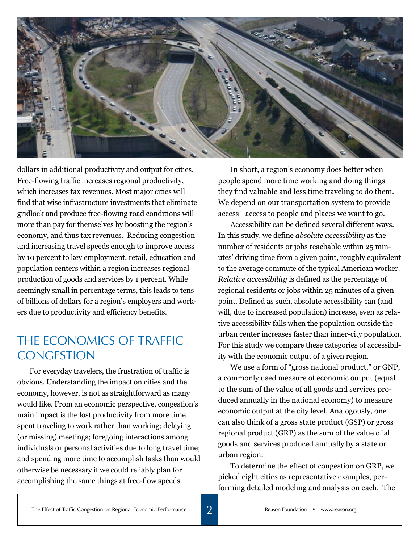

dollars in additional productivity and output for cities. Free-flowing traffic increases regional productivity, which increases tax revenues. Most major cities will find that wise infrastructure investments that eliminate gridlock and produce free-flowing road conditions will more than pay for themselves by boosting the region's economy, and thus tax revenues. Reducing congestion and increasing travel speeds enough to improve access by 10 percent to key employment, retail, education and population centers within a region increases regional production of goods and services by 1 percent. While seemingly small in percentage terms, this leads to tens of billions of dollars for a region's employers and workers due to productivity and efficiency benefits.

#### The Economics of Traffic **CONGESTION**

For everyday travelers, the frustration of traffic is obvious. Understanding the impact on cities and the economy, however, is not as straightforward as many would like. From an economic perspective, congestion's main impact is the lost productivity from more time spent traveling to work rather than working; delaying (or missing) meetings; foregoing interactions among individuals or personal activities due to long travel time; and spending more time to accomplish tasks than would otherwise be necessary if we could reliably plan for accomplishing the same things at free-flow speeds.

In short, a region's economy does better when people spend more time working and doing things they find valuable and less time traveling to do them. We depend on our transportation system to provide access—access to people and places we want to go.

Accessibility can be defined several different ways. In this study, we define *absolute accessibility* as the number of residents or jobs reachable within 25 minutes' driving time from a given point, roughly equivalent to the average commute of the typical American worker. *Relative accessibility* is defined as the percentage of regional residents or jobs within 25 minutes of a given point. Defined as such, absolute accessibility can (and will, due to increased population) increase, even as relative accessibility falls when the population outside the urban center increases faster than inner-city population. For this study we compare these categories of accessibility with the economic output of a given region.

We use a form of "gross national product," or GNP, a commonly used measure of economic output (equal to the sum of the value of all goods and services produced annually in the national economy) to measure economic output at the city level. Analogously, one can also think of a gross state product (GSP) or gross regional product (GRP) as the sum of the value of all goods and services produced annually by a state or urban region.

To determine the effect of congestion on GRP, we picked eight cities as representative examples, performing detailed modeling and analysis on each. The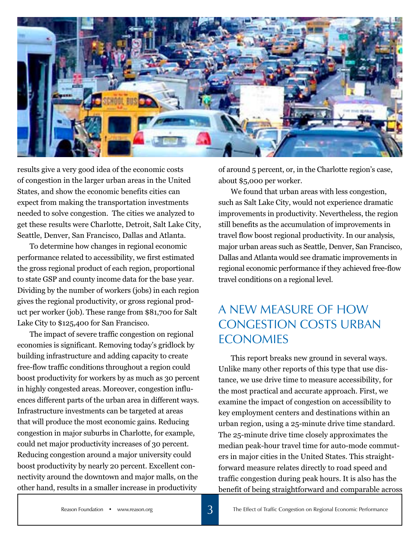

results give a very good idea of the economic costs of congestion in the larger urban areas in the United States, and show the economic benefits cities can expect from making the transportation investments needed to solve congestion. The cities we analyzed to get these results were Charlotte, Detroit, Salt Lake City, Seattle, Denver, San Francisco, Dallas and Atlanta.

To determine how changes in regional economic performance related to accessibility, we first estimated the gross regional product of each region, proportional to state GSP and county income data for the base year. Dividing by the number of workers (jobs) in each region gives the regional productivity, or gross regional product per worker (job). These range from \$81,700 for Salt Lake City to \$125,400 for San Francisco.

The impact of severe traffic congestion on regional economies is significant. Removing today's gridlock by building infrastructure and adding capacity to create free-flow traffic conditions throughout a region could boost productivity for workers by as much as 30 percent in highly congested areas. Moreover, congestion influences different parts of the urban area in different ways. Infrastructure investments can be targeted at areas that will produce the most economic gains. Reducing congestion in major suburbs in Charlotte, for example, could net major productivity increases of 30 percent. Reducing congestion around a major university could boost productivity by nearly 20 percent. Excellent connectivity around the downtown and major malls, on the other hand, results in a smaller increase in productivity

of around 5 percent, or, in the Charlotte region's case, about \$5,000 per worker.

We found that urban areas with less congestion, such as Salt Lake City, would not experience dramatic improvements in productivity. Nevertheless, the region still benefits as the accumulation of improvements in travel flow boost regional productivity. In our analysis, major urban areas such as Seattle, Denver, San Francisco, Dallas and Atlanta would see dramatic improvements in regional economic performance if they achieved free-flow travel conditions on a regional level.

# A New Measure of How Congestion Costs Urban **ECONOMIES**

This report breaks new ground in several ways. Unlike many other reports of this type that use distance, we use drive time to measure accessibility, for the most practical and accurate approach. First, we examine the impact of congestion on accessibility to key employment centers and destinations within an urban region, using a 25-minute drive time standard. The 25-minute drive time closely approximates the median peak-hour travel time for auto-mode commuters in major cities in the United States. This straightforward measure relates directly to road speed and traffic congestion during peak hours. It is also has the benefit of being straightforward and comparable across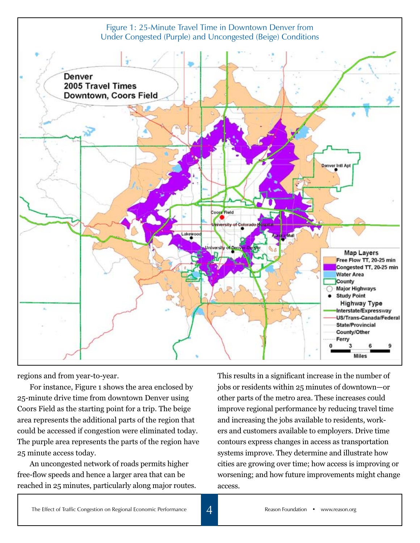

regions and from year-to-year.

For instance, Figure 1 shows the area enclosed by 25-minute drive time from downtown Denver using Coors Field as the starting point for a trip. The beige area represents the additional parts of the region that could be accessed if congestion were eliminated today. The purple area represents the parts of the region have 25 minute access today.

An uncongested network of roads permits higher free-flow speeds and hence a larger area that can be reached in 25 minutes, particularly along major routes.

This results in a significant increase in the number of jobs or residents within 25 minutes of downtown—or other parts of the metro area. These increases could improve regional performance by reducing travel time and increasing the jobs available to residents, workers and customers available to employers. Drive time contours express changes in access as transportation systems improve. They determine and illustrate how cities are growing over time; how access is improving or worsening; and how future improvements might change access.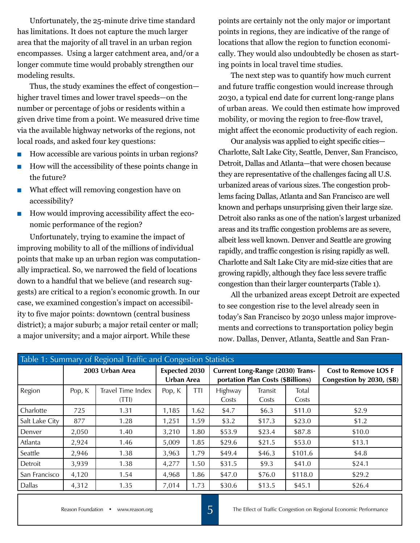Unfortunately, the 25-minute drive time standard has limitations. It does not capture the much larger area that the majority of all travel in an urban region encompasses. Using a larger catchment area, and/or a longer commute time would probably strengthen our modeling results.

Thus, the study examines the effect of congestion higher travel times and lower travel speeds—on the number or percentage of jobs or residents within a given drive time from a point. We measured drive time via the available highway networks of the regions, not local roads, and asked four key questions:

- How accessible are various points in urban regions?
- $\blacksquare$  How will the accessibility of these points change in the future?
- What effect will removing congestion have on accessibility?
- How would improving accessibility affect the economic performance of the region?

Unfortunately, trying to examine the impact of improving mobility to all of the millions of individual points that make up an urban region was computationally impractical. So, we narrowed the field of locations down to a handful that we believe (and research suggests) are critical to a region's economic growth. In our case, we examined congestion's impact on accessibility to five major points: downtown (central business district); a major suburb; a major retail center or mall; a major university; and a major airport. While these

points are certainly not the only major or important points in regions, they are indicative of the range of locations that allow the region to function economically. They would also undoubtedly be chosen as starting points in local travel time studies.

The next step was to quantify how much current and future traffic congestion would increase through 2030, a typical end date for current long-range plans of urban areas. We could then estimate how improved mobility, or moving the region to free-flow travel, might affect the economic productivity of each region.

Our analysis was applied to eight specific cities— Charlotte, Salt Lake City, Seattle, Denver, San Francisco, Detroit, Dallas and Atlanta—that were chosen because they are representative of the challenges facing all U.S. urbanized areas of various sizes. The congestion problems facing Dallas, Atlanta and San Francisco are well known and perhaps unsurprising given their large size. Detroit also ranks as one of the nation's largest urbanized areas and its traffic congestion problems are as severe, albeit less well known. Denver and Seattle are growing rapidly, and traffic congestion is rising rapidly as well. Charlotte and Salt Lake City are mid-size cities that are growing rapidly, although they face less severe traffic congestion than their larger counterparts (Table 1).

All the urbanized areas except Detroit are expected to see congestion rise to the level already seen in today's San Francisco by 2030 unless major improvements and corrections to transportation policy begin now. Dallas, Denver, Atlanta, Seattle and San Fran-

| Table 1: Summary of Regional Traffic and Congestion Statistics |                 |                            |                                    |            |                                                                       |                  |                       |                                                          |  |  |  |
|----------------------------------------------------------------|-----------------|----------------------------|------------------------------------|------------|-----------------------------------------------------------------------|------------------|-----------------------|----------------------------------------------------------|--|--|--|
|                                                                | 2003 Urban Area |                            | <b>Expected 2030</b><br>Urban Area |            | Current Long-Range (2030) Trans-<br>portation Plan Costs (\$Billions) |                  |                       | <b>Cost to Remove LOS F</b><br>Congestion by 2030, (\$B) |  |  |  |
| Region                                                         | Pop, K          | Travel Time Index<br>(TTI) | Pop, K                             | <b>TTI</b> | Highway<br>Costs                                                      | Transit<br>Costs | <b>Total</b><br>Costs |                                                          |  |  |  |
| Charlotte                                                      | 725             | 1.31                       | 1,185                              | 1.62       | \$4.7                                                                 | \$6.3\$          | \$11.0                | \$2.9                                                    |  |  |  |
| Salt Lake City                                                 | 877             | 1.28                       | 1,251                              | 1.59       | \$3.2                                                                 | \$17.3           | \$23.0                | \$1.2                                                    |  |  |  |
| Denver                                                         | 2,050           | 1.40                       | 3.210                              | 1.80       | \$53.9                                                                | \$23.4           | \$87.8                | \$10.0                                                   |  |  |  |
| Atlanta                                                        | 2,924           | 1.46                       | 5,009                              | 1.85       | \$29.6                                                                | \$21.5           | \$53.0                | \$13.1                                                   |  |  |  |
| Seattle                                                        | 2,946           | 1.38                       | 3,963                              | 1.79       | \$49.4                                                                | \$46.3           | \$101.6               | \$4.8                                                    |  |  |  |
| Detroit                                                        | 3,939           | 1.38                       | 4,277                              | 1.50       | \$31.5                                                                | \$9.3            | \$41.0                | \$24.1                                                   |  |  |  |
| San Francisco                                                  | 4,120           | 1.54                       | 4,968                              | 1.86       | \$47.0                                                                | \$76.0           | \$118.0               | \$29.2                                                   |  |  |  |
| <b>Dallas</b>                                                  | 4,312           | 1.35                       | 7,014                              | 1.73       | \$30.6                                                                | \$13.5           | \$45.1                | \$26.4                                                   |  |  |  |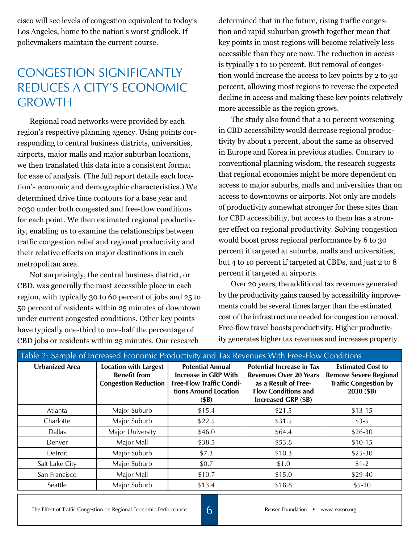cisco will see levels of congestion equivalent to today's Los Angeles, home to the nation's worst gridlock. If policymakers maintain the current course.

## Congestion Significantly Reduces A City's Economic **GROWTH**

Regional road networks were provided by each region's respective planning agency. Using points corresponding to central business districts, universities, airports, major malls and major suburban locations, we then translated this data into a consistent format for ease of analysis. (The full report details each location's economic and demographic characteristics.) We determined drive time contours for a base year and 2030 under both congested and free-flow conditions for each point. We then estimated regional productivity, enabling us to examine the relationships between traffic congestion relief and regional productivity and their relative effects on major destinations in each metropolitan area.

Not surprisingly, the central business district, or CBD, was generally the most accessible place in each region, with typically 30 to 60 percent of jobs and 25 to 50 percent of residents within 25 minutes of downtown under current congested conditions. Other key points have typically one-third to one-half the percentage of CBD jobs or residents within 25 minutes. Our research

determined that in the future, rising traffic congestion and rapid suburban growth together mean that key points in most regions will become relatively less accessible than they are now. The reduction in access is typically 1 to 10 percent. But removal of congestion would increase the access to key points by 2 to 30 percent, allowing most regions to reverse the expected decline in access and making these key points relatively more accessible as the region grows.

The study also found that a 10 percent worsening in CBD accessibility would decrease regional productivity by about 1 percent, about the same as observed in Europe and Korea in previous studies. Contrary to conventional planning wisdom, the research suggests that regional economies might be more dependent on access to major suburbs, malls and universities than on access to downtowns or airports. Not only are models of productivity somewhat stronger for these sites than for CBD accessibility, but access to them has a stronger effect on regional productivity. Solving congestion would boost gross regional performance by 6 to 30 percent if targeted at suburbs, malls and universities, but 4 to 10 percent if targeted at CBDs, and just 2 to 8 percent if targeted at airports.

Over 20 years, the additional tax revenues generated by the productivity gains caused by accessibility improvements could be several times larger than the estimated cost of the infrastructure needed for congestion removal. Free-flow travel boosts productivity. Higher productivity generates higher tax revenues and increases property

| Table 2: Sample of Increased Economic Productivity and Tax Revenues With Free-Flow Conditions |                                                                                    |                                                                                                                            |                                                                                                                                                       |                                                                                                         |  |  |  |  |  |
|-----------------------------------------------------------------------------------------------|------------------------------------------------------------------------------------|----------------------------------------------------------------------------------------------------------------------------|-------------------------------------------------------------------------------------------------------------------------------------------------------|---------------------------------------------------------------------------------------------------------|--|--|--|--|--|
| <b>Urbanized Area</b>                                                                         | <b>Location with Largest</b><br><b>Benefit from</b><br><b>Congestion Reduction</b> | <b>Potential Annual</b><br><b>Increase in GRP With</b><br><b>Free-Flow Traffic Condi-</b><br>tions Around Location<br>(SB) | <b>Potential Increase in Tax</b><br><b>Revenues Over 20 Years</b><br>as a Result of Free-<br><b>Flow Conditions and</b><br><b>Increased GRP (\$B)</b> | <b>Estimated Cost to</b><br><b>Remove Severe Regional</b><br><b>Traffic Congestion by</b><br>2030 (\$B) |  |  |  |  |  |
| Atlanta                                                                                       | Major Suburb                                                                       | \$15.4                                                                                                                     | \$21.5                                                                                                                                                | $$13-15$                                                                                                |  |  |  |  |  |
| Charlotte                                                                                     | Major Suburb                                                                       | \$22.5                                                                                                                     | \$31.5                                                                                                                                                | $$3-5$                                                                                                  |  |  |  |  |  |
| <b>Dallas</b>                                                                                 | Major University                                                                   | \$46.0                                                                                                                     | \$64.4                                                                                                                                                | $$26-30$                                                                                                |  |  |  |  |  |
| Denver                                                                                        | Major Mall                                                                         | \$38.5                                                                                                                     | \$53.8                                                                                                                                                | $$10-15$                                                                                                |  |  |  |  |  |
| Detroit                                                                                       | Major Suburb                                                                       | \$7.3                                                                                                                      | \$10.3                                                                                                                                                | $$25-30$                                                                                                |  |  |  |  |  |
| Salt Lake City                                                                                | Major Suburb                                                                       | \$0.7                                                                                                                      | \$1.0                                                                                                                                                 | $$1-2$                                                                                                  |  |  |  |  |  |
| San Francisco                                                                                 | Major Mall                                                                         | \$10.7                                                                                                                     | \$15.0                                                                                                                                                | \$29-40                                                                                                 |  |  |  |  |  |
| Seattle                                                                                       | Major Suburb                                                                       | \$13.4                                                                                                                     | \$18.8                                                                                                                                                | $$5-10$                                                                                                 |  |  |  |  |  |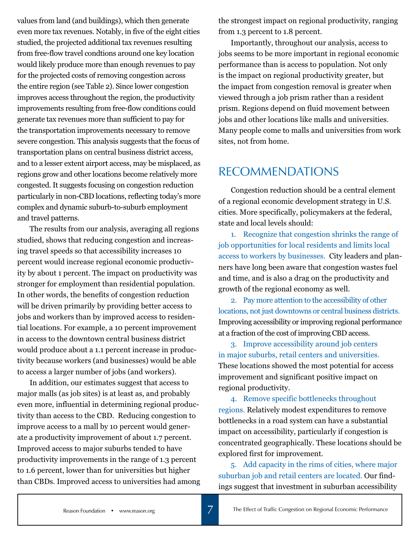values from land (and buildings), which then generate even more tax revenues. Notably, in five of the eight cities studied, the projected additional tax revenues resulting from free-flow travel condtions around one key location would likely produce more than enough revenues to pay for the projected costs of removing congestion across the entire region (see Table 2). Since lower congestion improves access throughout the region, the productivity improvements resulting from free-flow conditions could generate tax revenues more than sufficient to pay for the transportation improvements necessary to remove severe congestion. This analysis suggests that the focus of transportation plans on central business district access, and to a lesser extent airport access, may be misplaced, as regions grow and other locations become relatively more congested. It suggests focusing on congestion reduction particularly in non-CBD locations, reflecting today's more complex and dynamic suburb-to-suburb employment and travel patterns.

The results from our analysis, averaging all regions studied, shows that reducing congestion and increasing travel speeds so that accessibility increases 10 percent would increase regional economic productivity by about 1 percent. The impact on productivity was stronger for employment than residential population. In other words, the benefits of congestion reduction will be driven primarily by providing better access to jobs and workers than by improved access to residential locations. For example, a 10 percent improvement in access to the downtown central business district would produce about a 1.1 percent increase in productivity because workers (and businesses) would be able to access a larger number of jobs (and workers).

In addition, our estimates suggest that access to major malls (as job sites) is at least as, and probably even more, influential in determining regional productivity than access to the CBD. Reducing congestion to improve access to a mall by 10 percent would generate a productivity improvement of about 1.7 percent. Improved access to major suburbs tended to have productivity improvements in the range of 1.3 percent to 1.6 percent, lower than for universities but higher than CBDs. Improved access to universities had among the strongest impact on regional productivity, ranging from 1.3 percent to 1.8 percent.

Importantly, throughout our analysis, access to jobs seems to be more important in regional economic performance than is access to population. Not only is the impact on regional productivity greater, but the impact from congestion removal is greater when viewed through a job prism rather than a resident prism. Regions depend on fluid movement between jobs and other locations like malls and universities. Many people come to malls and universities from work sites, not from home.

### **RECOMMENDATIONS**

Congestion reduction should be a central element of a regional economic development strategy in U.S. cities. More specifically, policymakers at the federal, state and local levels should:

1. Recognize that congestion shrinks the range of job opportunities for local residents and limits local access to workers by businesses. City leaders and planners have long been aware that congestion wastes fuel and time, and is also a drag on the productivity and growth of the regional economy as well.

2. Pay more attention to the accessibility of other locations, not just downtowns or central business districts. Improving accessibility or improving regional performance at a fraction of the cost of improving CBD access.

3. Improve accessibility around job centers in major suburbs, retail centers and universities. These locations showed the most potential for access improvement and significant positive impact on regional productivity.

4. Remove specific bottlenecks throughout regions. Relatively modest expenditures to remove bottlenecks in a road system can have a substantial impact on accessibility, particularly if congestion is concentrated geographically. These locations should be explored first for improvement.

5. Add capacity in the rims of cities, where major suburban job and retail centers are located. Our findings suggest that investment in suburban accessibility